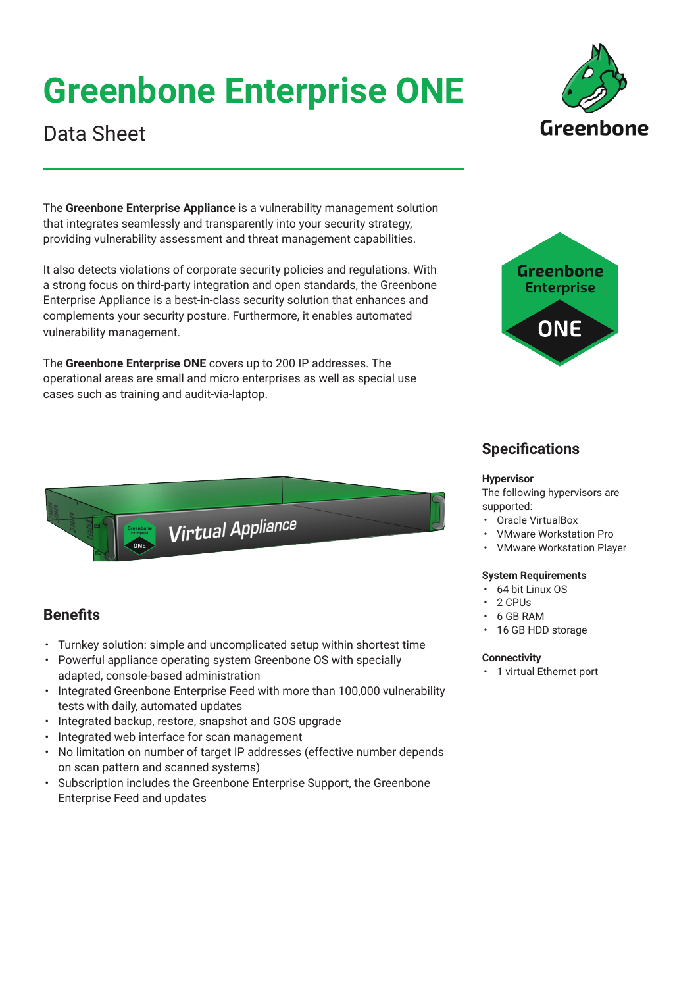# **Greenbone Enterprise ONE**



The **Greenbone Enterprise Appliance** is a vulnerability management solution that integrates seamlessly and transparently into your security strategy, providing vulnerability assessment and threat management capabilities.

It also detects violations of corporate security policies and regulations. With a strong focus on third-party integration and open standards, the Greenbone Enterprise Appliance is a best-in-class security solution that enhances and complements your security posture. Furthermore, it enables automated vulnerability management.

The **Greenbone Enterprise ONE** covers up to 200 IP addresses. The operational areas are small and micro enterprises as well as special use cases such as training and audit-via-laptop.



Greenhone

# **Specifications**

#### **Hypervisor**

The following hypervisors are supported:

- Oracle VirtualBox
- VMware Workstation Pro
- VMware Workstation Player

### **System Requirements**

- 64 bit Linux OS
- 2 CPUs
- 6 GB RAM
- 16 GB HDD storage

### **Connectivity**

• 1 virtual Ethernet port

Virtual Appliance

# **Benefits**

- Turnkey solution: simple and uncomplicated setup within shortest time
- Powerful appliance operating system Greenbone OS with specially adapted, console-based administration
- Integrated Greenbone Enterprise Feed with more than 100,000 vulnerability tests with daily, automated updates
- Integrated backup, restore, snapshot and GOS upgrade
- Integrated web interface for scan management
- No limitation on number of target IP addresses (effective number depends on scan pattern and scanned systems)
- Subscription includes the Greenbone Enterprise Support, the Greenbone Enterprise Feed and updates